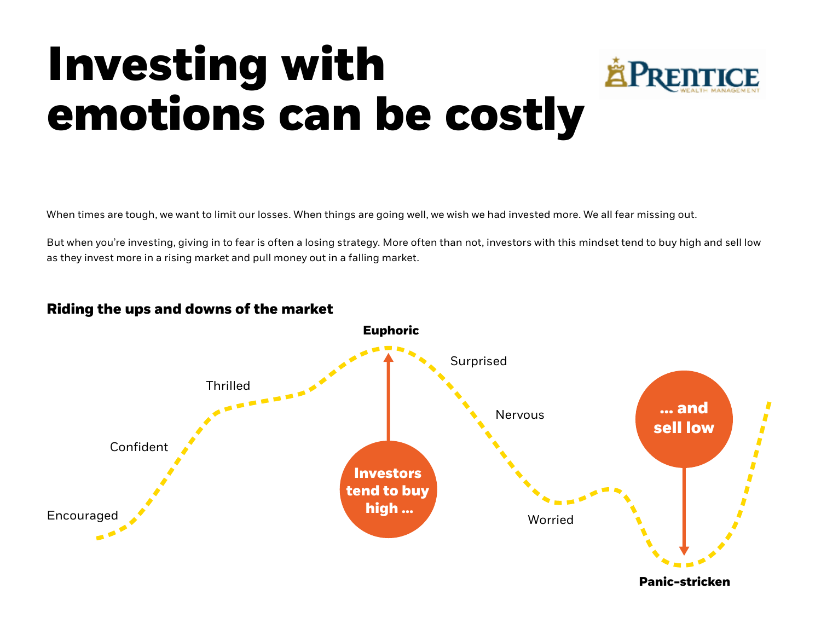## **Investing with emotions can be costly**



When times are tough, we want to limit our losses. When things are going well, we wish we had invested more. We all fear missing out.

But when you're investing, giving in to fear is often a losing strategy. More often than not, investors with this mindset tend to buy high and sell low as they invest more in a rising market and pull money out in a falling market.